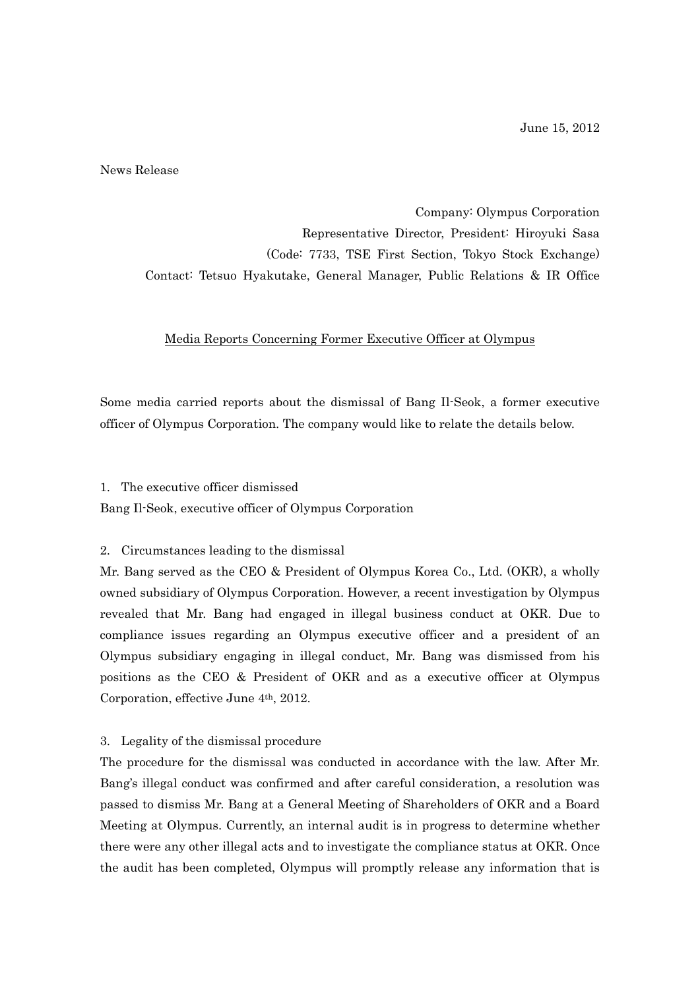June 15, 2012

News Release

Company: Olympus Corporation Representative Director, President: Hiroyuki Sasa (Code: 7733, TSE First Section, Tokyo Stock Exchange) Contact: Tetsuo Hyakutake, General Manager, Public Relations & IR Office

## Media Reports Concerning Former Executive Officer at Olympus

Some media carried reports about the dismissal of Bang Il-Seok, a former executive officer of Olympus Corporation. The company would like to relate the details below.

1. The executive officer dismissed Bang Il-Seok, executive officer of Olympus Corporation

## 2. Circumstances leading to the dismissal

Mr. Bang served as the CEO & President of Olympus Korea Co., Ltd. (OKR), a wholly owned subsidiary of Olympus Corporation. However, a recent investigation by Olympus revealed that Mr. Bang had engaged in illegal business conduct at OKR. Due to compliance issues regarding an Olympus executive officer and a president of an Olympus subsidiary engaging in illegal conduct, Mr. Bang was dismissed from his positions as the CEO & President of OKR and as a executive officer at Olympus Corporation, effective June 4th, 2012.

## 3. Legality of the dismissal procedure

The procedure for the dismissal was conducted in accordance with the law. After Mr. Bang's illegal conduct was confirmed and after careful consideration, a resolution was passed to dismiss Mr. Bang at a General Meeting of Shareholders of OKR and a Board Meeting at Olympus. Currently, an internal audit is in progress to determine whether there were any other illegal acts and to investigate the compliance status at OKR. Once the audit has been completed, Olympus will promptly release any information that is